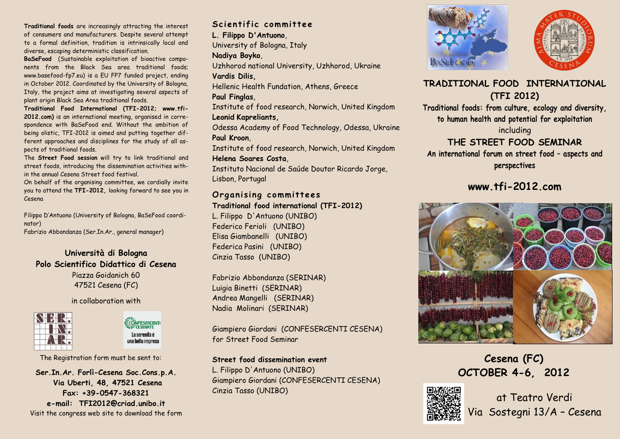**Traditional foods** are increasingly attracting the interest of consumers and manufacturers. Despite several attempt to a formal definition, tradition is intrinsically local and diverse, escaping deterministic classification.

**BaSeFood** (Sustainable exploitation of bioactive components from the Black Sea area traditional foods; www.basefood-fp7.eu) is a EU FP7 funded project, ending in October 2012. Coordinated by the University of Bologna, Italy, the project aims at investigating several aspects of plant origin Black Sea Area traditional foods.

**Traditional Food International (TFI-2012; www.tfi-2012.com)** is an international meeting, organised in correspondence with BaSeFood end. Without the ambition of being olistic, TFI-2012 is aimed and putting together different approaches and disciplines for the study of all aspects of traditional foods.

The **Street Food session** will try to link traditional and street foods, introducing the dissemination activities within the annual Cesena Street food festival.

On behalf of the organising committee, we cordially invite you to attend the **TFI-2012,** looking forward to see you in Cesena

Filippo D'Antuono (University of Bologna, BaSeFood coordinator) Fabrizio Abbondanza (Ser.In.Ar., general manager)

**Università di Bologna Polo Scientifico Didattico di Cesena** Piazza Goidanich 60 47521 Cesena (FC)

## in collaboration with



CONFESERCENTI La serenità è una bella impresa

The Registration form must be sent to:

**Ser.In.Ar. Forlì-Cesena Soc.Cons.p.A. Via Uberti, 48, 47521 Cesena Fax: +39-0547-368321 e-mail: TFI2012@criad.unibo.it** Visit the congress web site to download the form

Scientific committee **L. Filippo D'Antuono**, University of Bologna, Italy **Nadiya Boyko**, Uzhhorod national University, Uzhhorod, Ukraine **Vardis Dilis,**  Hellenic Health Fundation, Athens, Greece **Paul Finglas**, Institute of food research, Norwich, United Kingdom **Leonid Kapreliants,**  Odessa Academy of Food Technology, Odessa, Ukraine **Paul Kroon**, Institute of food research, Norwich, United Kingdom **Helena Soares Costa**,

Instituto Nacional de Saúde Doutor Ricardo Jorge, Lisbon, Portugal

## **Organising committees**

## **Traditional food international (TFI-2012)**

L. Filippo D'Antuono (UNIBO) Federico Ferioli (UNIBO) Elisa Giambanelli (UNIBO) Federica Pasini (UNIBO) Cinzia Tasso (UNIBO)

Fabrizio Abbondanza (SERINAR) Luigia Binetti (SERINAR) Andrea Mangelli (SERINAR) Nadia Molinari (SERINAR)

Giampiero Giordani (CONFESERCENTI CESENA) for Street Food Seminar

## **Street food dissemination event**

L. Filippo D'Antuono (UNIBO) Giampiero Giordani (CONFESERCENTI CESENA) Cinzia Tasso (UNIBO)





# **TRADITIONAL FOOD INTERNATIONAL (TFI 2012)**

**Traditional foods: from culture, ecology and diversity, to human health and potential for exploitation**

including

# **THE STREET FOOD SEMINAR**

**An international forum on street food – aspects and perspectives**

# **www.tfi-2012.com**



**Cesena (FC) OCTOBER 4-6, 2012**



at Teatro Verdi Via Sostegni 13/A – Cesena